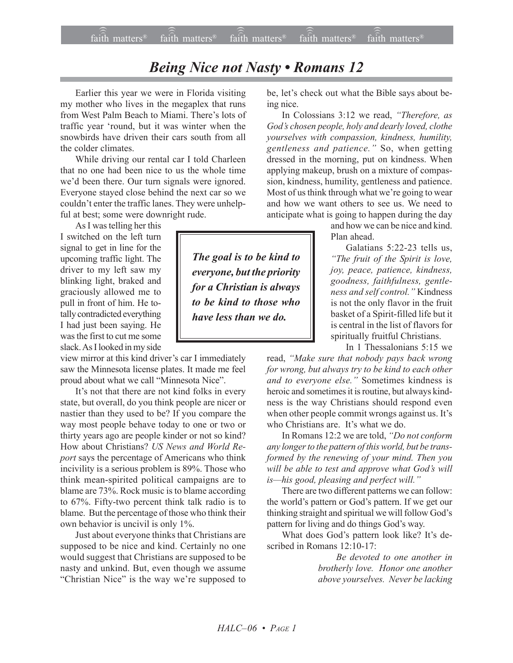## *Being Nice not Nasty • Romans 12*

Earlier this year we were in Florida visiting my mother who lives in the megaplex that runs from West Palm Beach to Miami. There's lots of traffic year ëround, but it was winter when the snowbirds have driven their cars south from all the colder climates.

While driving our rental car I told Charleen that no one had been nice to us the whole time we'd been there. Our turn signals were ignored. Everyone stayed close behind the next car so we couldn't enter the traffic lanes. They were unhelpful at best; some were downright rude.

As I was telling her this I switched on the left turn signal to get in line for the upcoming traffic light. The driver to my left saw my blinking light, braked and graciously allowed me to pull in front of him. He totally contradicted everything I had just been saying. He was the first to cut me some slack. As I looked in my side

view mirror at this kind driver's car I immediately saw the Minnesota license plates. It made me feel proud about what we call "Minnesota Nice".

It's not that there are not kind folks in every state, but overall, do you think people are nicer or nastier than they used to be? If you compare the way most people behave today to one or two or thirty years ago are people kinder or not so kind? How about Christians? *US News and World Report* says the percentage of Americans who think incivility is a serious problem is 89%. Those who think mean-spirited political campaigns are to blame are 73%. Rock music is to blame according to 67%. Fifty-two percent think talk radio is to blame. But the percentage of those who think their own behavior is uncivil is only 1%.

Just about everyone thinks that Christians are supposed to be nice and kind. Certainly no one would suggest that Christians are supposed to be nasty and unkind. But, even though we assume "Christian Nice" is the way we're supposed to be, let's check out what the Bible says about being nice.

In Colossians 3:12 we read, "Therefore, as *Godís chosen people, holy and dearly loved, clothe yourselves with compassion, kindness, humility, gentleness and patience.*" So, when getting dressed in the morning, put on kindness. When applying makeup, brush on a mixture of compassion, kindness, humility, gentleness and patience. Most of us think through what we're going to wear and how we want others to see us. We need to anticipate what is going to happen during the day

> and how we can be nice and kind. Plan ahead.

> Galatians 5:22-23 tells us, *ìThe fruit of the Spirit is love, joy, peace, patience, kindness, goodness, faithfulness, gentleness and self control.*" Kindness is not the only flavor in the fruit basket of a Spirit-filled life but it is central in the list of flavors for spiritually fruitful Christians.

In 1 Thessalonians 5:15 we

read, "Make sure that nobody pays back wrong *for wrong, but always try to be kind to each other* and to everyone else.<sup>"</sup> Sometimes kindness is heroic and sometimes it is routine, but always kindness is the way Christians should respond even when other people commit wrongs against us. It's who Christians are. It's what we do.

In Romans 12:2 we are told, "Do not conform *any longer to the pattern of this world, but be transformed by the renewing of your mind. Then you* will be able to test and approve what God's will *is*—his good, pleasing and perfect will."

There are two different patterns we can follow: the world's pattern or God's pattern. If we get our thinking straight and spiritual we will follow God's pattern for living and do things God's way.

What does God's pattern look like? It's described in Romans 12:10-17:

> *Be devoted to one another in brotherly love. Honor one another above yourselves. Never be lacking*

*The goal is to be kind to everyone, but the priority for a Christian is always to be kind to those who have less than we do.*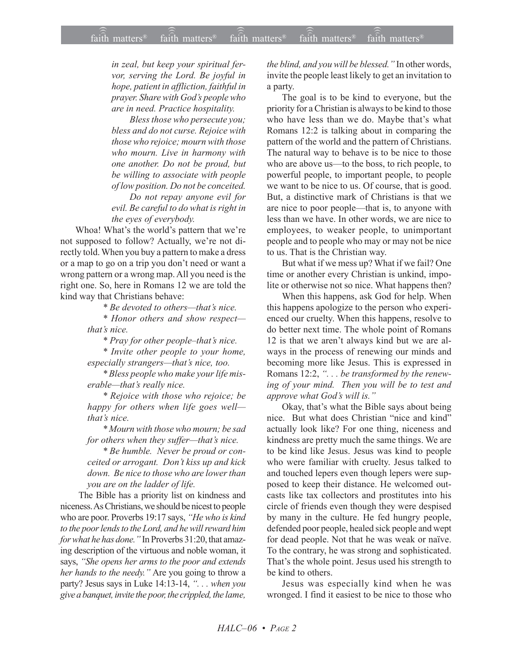*in zeal, but keep your spiritual fervor, serving the Lord. Be joyful in hope, patient in affliction, faithful in prayer. Share with Godís people who are in need. Practice hospitality.*

*Bless those who persecute you; bless and do not curse. Rejoice with those who rejoice; mourn with those who mourn. Live in harmony with one another. Do not be proud, but be willing to associate with people of low position. Do not be conceited.*

*Do not repay anyone evil for evil. Be careful to do what is right in the eyes of everybody.*

Whoa! What's the world's pattern that we're not supposed to follow? Actually, we're not directly told. When you buy a pattern to make a dress or a map to go on a trip you don't need or want a wrong pattern or a wrong map. All you need is the right one. So, here in Romans 12 we are told the kind way that Christians behave:

*\* Be devoted to others—that's nice.* 

 $*$  Honor others and show respectthat's nice.

*\* Pray for other people-that's nice.* 

*\* Invite other people to your home, especially strangers—that's nice, too.* 

*\* Bless people who make your life miserable—that's really nice.* 

*\* Rejoice with those who rejoice; be happy for others when life goes well thatís nice.*

*\* Mourn with those who mourn; be sad for others when they suffer-that's nice.* 

*\* Be humble. Never be proud or conceited or arrogant. Donít kiss up and kick down. Be nice to those who are lower than you are on the ladder of life.*

 The Bible has a priority list on kindness and niceness. As Christians, we should be nicest to people who are poor. Proverbs 19:17 says, "He who is kind *to the poor lends to the Lord, and he will reward him* for what he has done.<sup>"</sup> In Proverbs 31:20, that amazing description of the virtuous and noble woman, it says, "She opens her arms to the poor and extends *her hands to the needy.*" Are you going to throw a party? Jesus says in Luke 14:13-14, ". . . when you *give a banquet, invite the poor, the crippled, the lame,* *the blind, and you will be blessed.*" In other words, invite the people least likely to get an invitation to a party.

The goal is to be kind to everyone, but the priority for a Christian is always to be kind to those who have less than we do. Maybe that's what Romans 12:2 is talking about in comparing the pattern of the world and the pattern of Christians. The natural way to behave is to be nice to those who are above us—to the boss, to rich people, to powerful people, to important people, to people we want to be nice to us. Of course, that is good. But, a distinctive mark of Christians is that we are nice to poor people—that is, to anyone with less than we have. In other words, we are nice to employees, to weaker people, to unimportant people and to people who may or may not be nice to us. That is the Christian way.

But what if we mess up? What if we fail? One time or another every Christian is unkind, impolite or otherwise not so nice. What happens then?

When this happens, ask God for help. When this happens apologize to the person who experienced our cruelty. When this happens, resolve to do better next time. The whole point of Romans 12 is that we aren't always kind but we are always in the process of renewing our minds and becoming more like Jesus. This is expressed in Romans 12:2, *ì. . . be transformed by the renewing of your mind. Then you will be to test and approve what God's will is.*"

Okay, that's what the Bible says about being nice. But what does Christian "nice and kind" actually look like? For one thing, niceness and kindness are pretty much the same things. We are to be kind like Jesus. Jesus was kind to people who were familiar with cruelty. Jesus talked to and touched lepers even though lepers were supposed to keep their distance. He welcomed outcasts like tax collectors and prostitutes into his circle of friends even though they were despised by many in the culture. He fed hungry people, defended poor people, healed sick people and wept for dead people. Not that he was weak or naïve. To the contrary, he was strong and sophisticated. That's the whole point. Jesus used his strength to be kind to others.

Jesus was especially kind when he was wronged. I find it easiest to be nice to those who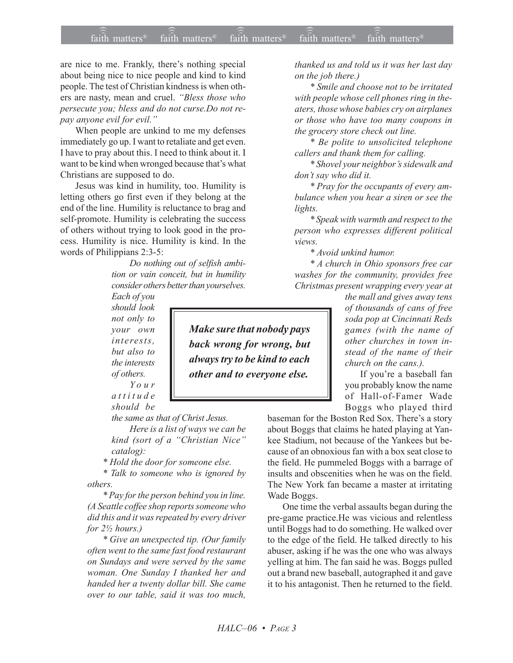## $\widehat{\widehat{\mathfrak{tair}}}$  matters  $\widehat{\widehat{\mathfrak{tair}}}$  matters  $\widehat{\widehat{\mathfrak{tair}}}$  matters  $\widehat{\widehat{\mathfrak{tair}}}$  matters  $\widehat{\widehat{\mathfrak{se}}}$  faith matters faith matters<sup>®</sup> faith matters® faith matters

are nice to me. Frankly, there's nothing special about being nice to nice people and kind to kind people. The test of Christian kindness is when others are nasty, mean and cruel. "Bless those who *persecute you; bless and do not curse.Do not repay anyone evil for evil.î*

When people are unkind to me my defenses immediately go up. I want to retaliate and get even. I have to pray about this. I need to think about it. I want to be kind when wronged because that's what Christians are supposed to do.

Jesus was kind in humility, too. Humility is letting others go first even if they belong at the end of the line. Humility is reluctance to brag and self-promote. Humility is celebrating the success of others without trying to look good in the process. Humility is nice. Humility is kind. In the words of Philippians 2:3-5:

> *Do nothing out of selfish ambition or vain conceit, but in humility consider others better than yourselves.*

*Each of you should look not only to your own interests, but also to the interests of others.*

*Your attitude should be*

*the same as that of Christ Jesus.*

*Here is a list of ways we can be kind (sort of a "Christian Nice" catalog):*

*\* Hold the door for someone else.*

*\* Talk to someone who is ignored by others.*

*\* Pay for the person behind you in line. (A Seattle coffee shop reports someone who did this and it was repeated by every driver for 2½ hours.)*

*\* Give an unexpected tip. (Our family often went to the same fast food restaurant on Sundays and were served by the same woman. One Sunday I thanked her and handed her a twenty dollar bill. She came over to our table, said it was too much,*

*Make sure that nobody pays back wrong for wrong, but always try to be kind to each other and to everyone else.*

*thanked us and told us it was her last day on the job there.)*

*\* Smile and choose not to be irritated with people whose cell phones ring in theaters, those whose babies cry on airplanes or those who have too many coupons in the grocery store check out line.*

*\* Be polite to unsolicited telephone callers and thank them for calling.*

*\* Shovel your neighborís sidewalk and donít say who did it.*

*\* Pray for the occupants of every ambulance when you hear a siren or see the lights.*

*\* Speak with warmth and respect to the person who expresses different political views.*

*\* Avoid unkind humor.*

*\* A church in Ohio sponsors free car washes for the community, provides free Christmas present wrapping every year at*

*the mall and gives away tens of thousands of cans of free soda pop at Cincinnati Reds games (with the name of other churches in town instead of the name of their church on the cans.).*

If you're a baseball fan you probably know the name of Hall-of-Famer Wade Boggs who played third

baseman for the Boston Red Sox. There's a story about Boggs that claims he hated playing at Yankee Stadium, not because of the Yankees but because of an obnoxious fan with a box seat close to the field. He pummeled Boggs with a barrage of insults and obscenities when he was on the field. The New York fan became a master at irritating Wade Boggs.

One time the verbal assaults began during the pre-game practice.He was vicious and relentless until Boggs had to do something. He walked over to the edge of the field. He talked directly to his abuser, asking if he was the one who was always yelling at him. The fan said he was. Boggs pulled out a brand new baseball, autographed it and gave it to his antagonist. Then he returned to the field.